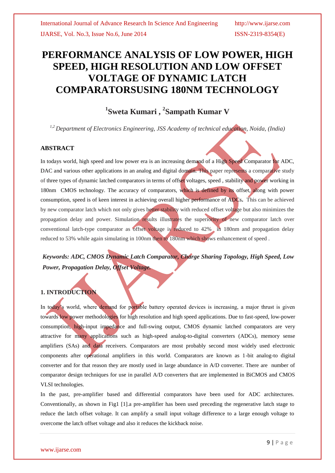# **PERFORMANCE ANALYSIS OF LOW POWER, HIGH SPEED, HIGH RESOLUTION AND LOW OFFSET VOLTAGE OF DYNAMIC LATCH COMPARATORSUSING 180NM TECHNOLOGY**

# **1 Sweta Kumari , <sup>2</sup> Sampath Kumar V**

*1,2 Department of Electronics Engineering, JSS Academy of technical education, Noida, (India)*

### **ABSTRACT**

In todays world, high speed and low power era is an increasing demand of a High Speed Comparator for ADC, DAC and various other applications in an analog and digital domain. This paper represents a comparative study of three types of dynamic latched comparators in terms of offset voltages, speed , stability and power working in 180nm CMOS technology. The accuracy of comparators, which is defined by its offset, along with power consumption, speed is of keen interest in achieving overall higher performance of ADCs**.** This can be achieved by new comparator latch which not only gives better stability with reduced offset voltage but also minimizes the propagation delay and power. Simulation results illustrates the superiority of new comparator latch over conventional latch-type comparator as offset voltage is reduced to 42% in 180nm and propagation delay reduced to 53% while again simulating in 100nm then to 180nm which shows enhancement of speed .

*Keywords: ADC, CMOS Dynamic Latch Comparator, Charge Sharing Topology, High Speed, Low Power, Propagation Delay, Offset Voltage.*

## **1. INTRODUCTION**

In today's world, where demand for portable battery operated devices is increasing, a major thrust is given towards low power methodologies for high resolution and high speed applications. Due to fast-speed, low-power consumption, high-input impedance and full-swing output, CMOS dynamic latched comparators are very attractive for many applications such as high-speed analog-to-digital converters (ADCs), memory sense amplifiers (SAs) and data receivers. Comparators are most probably second most widely used electronic components after operational amplifiers in this world. Comparators are known as 1-bit analog-to digital converter and for that reason they are mostly used in large abundance in A/D converter. There are number of comparator design techniques for use in parallel A/D converters that are implemented in BiCMOS and CMOS VLSI technologies.

In the past, pre-amplifier based and differential comparators have been used for ADC architectures. Conventionally, as shown in Fig1 [1].a pre-amplifier has been used preceding the regenerative latch stage to reduce the latch offset voltage. It can amplify a small input voltage difference to a large enough voltage to overcome the latch offset voltage and also it reduces the kickback noise.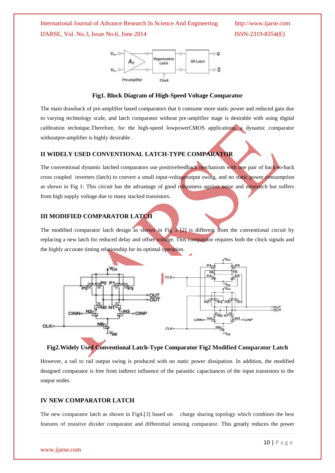

### **Fig1. Block Diagram of High-Speed Voltage Comparator**

The main drawback of pre-amplifier based comparators that it consume more static power and reduced gain due to varying technology scale, and latch comparator without pre-amplifier stage is desirable with using digital calibration technique.Therefore, for the high-speed lowpowerCMOS applications, a dynamic comparator withoutpre-amplifier is highly desirable .

### **II WIDELY USED CONVENTIONAL LATCH-TYPE COMPARATOR**

The conventional dynamic latched comparators use positivefeedback mechanism with one pair of back-to-back cross coupled inverters (latch) to convert a small input-voltageoutput swing, and no static power consumption as shown in Fig 1: This circuit has the advantage of good robustness against noise and mismatch but suffers from high supply voltage due to many stacked transistors.

### **III MODIFIED COMPARATOR LATCH**

The modified comparator latch design as shown in Fig  $3$  [2] is different from the conventional circuit by replacing a new latch for reduced delay and offset voltage. This comparator requires both the clock signals and the highly accurate timing relationship for its optimal operation.



## **Fig2.Widely Used Conventional Latch-Type Comparator Fig2 Modified Comparator Latch**

However, a rail to rail output swing is produced with no static power dissipation. In addition, the modified designed comparator is free from indirect influence of the parasitic capacitances of the input transistors to the output nodes.

### **IV NEW COMPARATOR LATCH**

The new comparator latch as shown in Fig4.[3] based on charge sharing topology which combines the best features of resistive divider comparator and differential sensing comparator. This greatly reduces the power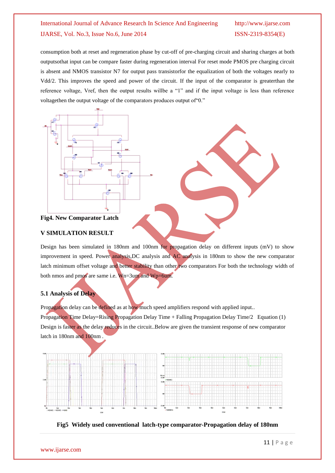consumption both at reset and regeneration phase by cut-off of pre-charging circuit and sharing charges at both outputsothat input can be compare faster during regeneration interval For reset mode PMOS pre charging circuit is absent and NMOS transistor N7 for output pass transistorfor the equalization of both the voltages nearly to Vdd/2. This improves the speed and power of the circuit. If the input of the comparator is greaterthan the reference voltage, Vref, then the output results willbe a "1" and if the input voltage is less than reference voltagethen the output voltage of the comparators produces output of"0."



**Fig4. New Comparator Latch**

### **V SIMULATION RESULT**

Design has been simulated in 180nm and 100nm for propagation delay on different inputs (mV) to show improvement in speed. Power analysis,DC analysis and AC analysis in 180nm to show the new comparator latch minimum offset voltage and better stability than other two comparators For both the technology width of both nmos and pmos are same i.e. Wn=3um and Wp=6um.

### **5.1 Analysis of Delay**

Propagation delay can be defined as at how much speed amplifiers respond with applied input..

Propagation Time Delay=Rising Propagation Delay Time + Falling Propagation Delay Time/2 Equation (1) Design is faster as the delay reduces in the circuit..Below are given the transient response of new comparator latch in 180nm and 100nm .



**Fig5 Widely used conventional latch-type comparator-Propagation delay of 180nm**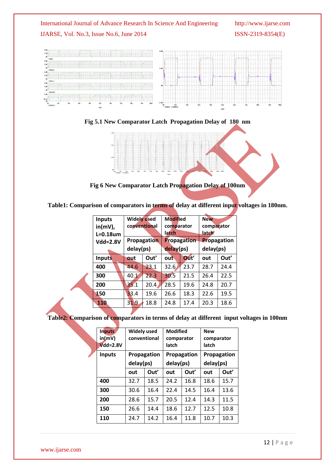

**Fig 5.1 New Comparator Latch Propagation Delay of 180 nm**



**Fig 6 New Comparator Latch Propagation Delay of 100nm**

**Table1: Comparison of comparators in terms of delay at different input voltages in 180nm.**

| <b>Inputs</b>   | <b>Widely used</b>       |      | <b>Modified</b>          |      | <b>New</b>         |      |
|-----------------|--------------------------|------|--------------------------|------|--------------------|------|
| $in(mV)$ ,      | conventional             |      | comparator               |      | comparator         |      |
| $L=0.18$ um     |                          |      | latch                    |      | late <b>n</b>      |      |
| <b>Vdd=2.8V</b> | Propagation<br>delay(ps) |      | Propagation<br>delay(ps) |      | <b>Propagation</b> |      |
|                 |                          |      |                          |      | delay(ps)          |      |
| <b>Inputs</b>   | out                      | Out' | out                      | Out' | out                | Out' |
| 400             | 44.6                     | 23.1 | 32.6                     | 23.7 | 28.7               | 24.4 |
| 300             | 40.1                     | 22.3 | 30.5                     | 21.5 | 26.4               | 22.5 |
| 200             | 35.1                     | 20.4 | 28.5                     | 19.6 | 24.8               | 20.7 |
| 150             | 33.4                     | 19.6 | 26.6                     | 18.3 | 22.6               | 19.5 |
| 110             | 31.9                     | 18.8 | 24.8                     | 17.4 | 20.3               | 18.6 |
|                 |                          |      |                          |      |                    |      |

# **Table2: Comparison of comparators in terms of delay at different input voltages in 100nm**

| Inputs<br>in(mV)<br>$Vdd = 2.8V$ | <b>Widely used</b><br>conventional |      | <b>Modified</b><br>comparator<br>latch |      | <b>New</b><br>comparator<br>latch |      |
|----------------------------------|------------------------------------|------|----------------------------------------|------|-----------------------------------|------|
| <b>Inputs</b>                    | Propagation<br>delay(ps)           |      | Propagation<br>delay(ps)               |      | Propagation<br>delay(ps)          |      |
|                                  |                                    |      |                                        |      |                                   |      |
|                                  | out                                | Out' | out                                    | Out' | out                               | Out' |
| 400                              | 32.7                               | 18.5 | 24.2                                   | 16.8 | 18.6                              | 15.7 |
| 300                              | 30.6                               | 16.4 | 22.4                                   | 14.5 | 16.4                              | 13.6 |
| 200                              | 28.6                               | 15.7 | 20.5                                   | 12.4 | 14.3                              | 11.5 |
| 150                              | 26.6                               | 14.4 | 18.6                                   | 12.7 | 12.5                              | 10.8 |
| 110                              | 24.7                               | 14.2 | 16.4                                   | 11.8 | 10.7                              | 10.3 |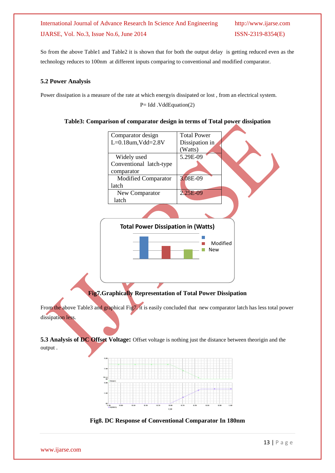So from the above Table1 and Table2 it is shown that for both the output delay is getting reduced even as the technology reduces to 100nm at different inputs comparing to conventional and modified comparator.

## **5.2 Power Analysis**

Power dissipation is a measure of the rate at which energyis dissipated or lost , from an electrical system.

P= Idd .VddEquation(2)

## **Table3: Comparison of comparator design in terms of Total power dissipation**



# **Fig7.Graphically Representation of Total Power Dissipation**

From the above Table3 and graphical Fig7, it is easily concluded that new comparator latch has less total power dissipation less.

**5.3 Analysis of DC Offset Voltage:** Offset voltage is nothing just the distance between theorigin and the output .



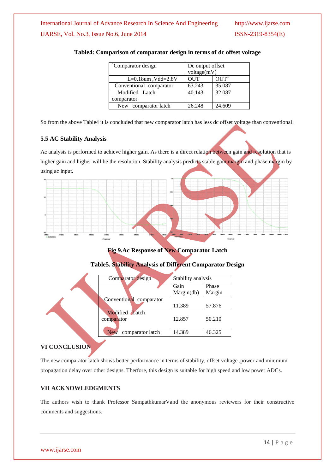| Comparator design       | De output offset<br>voltage(mV) |        |
|-------------------------|---------------------------------|--------|
| $L=0.18$ um, Vdd=2.8V   | <b>OUT</b>                      | OUT'   |
| Conventional comparator | 63.243                          | 35.087 |
| Modified Latch          | 40.143                          | 32.087 |
| comparator              |                                 |        |
| New comparator latch    | 26.248                          | 24.609 |

### **Table4: Comparison of comparator design in terms of dc offset voltage**

So from the above Table4 it is concluded that new comparator latch has less dc offset voltage than conventional.

### **5.5 AC Stability Analysis**

Ac analysis is performed to achieve higher gain. As there is a direct relation between gain and resolution that is higher gain and higher will be the resolution. Stability analysis predicts stable gain margin and phase margin by using ac input**.**



**Fig 9.Ac Response of New Comparator Latch**

### **Table5. Stability Analysis of Different Comparator Design**

| Comparator design              | Stability analysis |        |  |  |
|--------------------------------|--------------------|--------|--|--|
|                                | Gain               | Phase  |  |  |
|                                | Margin(db)         | Margin |  |  |
| Conventional comparator        |                    |        |  |  |
|                                | 11.389             | 57.876 |  |  |
| Modified Latch                 |                    |        |  |  |
| comparator                     | 12.857             | 50.210 |  |  |
|                                |                    |        |  |  |
| comparator latch<br><b>New</b> | 14.389             | 46.325 |  |  |
|                                |                    |        |  |  |

## **VI CONCLUSION**

The new comparator latch shows better performance in terms of stability, offset voltage ,power and minimum propagation delay over other designs. Therfore, this design is suitable for high speed and low power ADCs.

#### **VII ACKNOWLEDGMENTS**

The authors wish to thank Professor SampathkumarVand the anonymous reviewers for their constructive comments and suggestions.